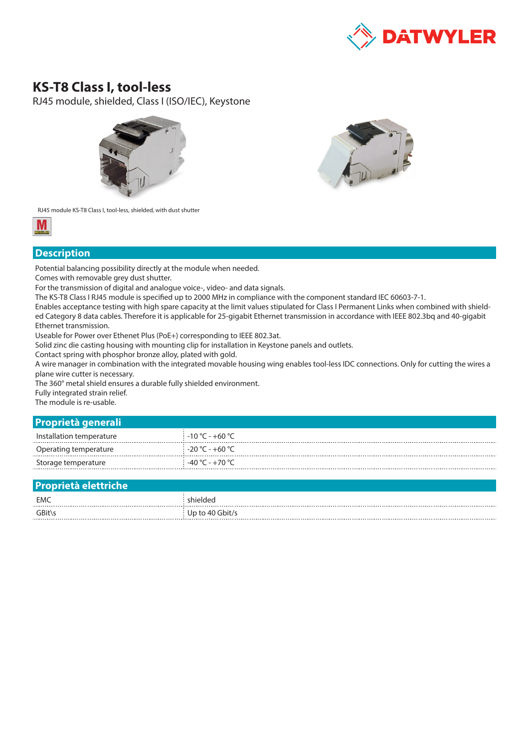

## **KS-T8 Class I, tool-less**

RJ45 module, shielded, Class I (ISO/IEC), Keystone





RJ45 module KS-T8 Class I, tool-less, shielded, with dust shutter



## **Description**

Potential balancing possibility directly at the module when needed.

Comes with removable grey dust shutter.

For the transmission of digital and analogue voice-, video- and data signals.

The KS-T8 Class I RJ45 module is specified up to 2000 MHz in compliance with the component standard IEC 60603-7-1.

Enables acceptance testing with high spare capacity at the limit values stipulated for Class I Permanent Links when combined with shielded Category 8 data cables. Therefore it is applicable for 25-gigabit Ethernet transmission in accordance with IEEE 802.3bq and 40-gigabit Ethernet transmission.

Useable for Power over Ethenet Plus (PoE+) corresponding to IEEE 802.3at.

Solid zinc die casting housing with mounting clip for installation in Keystone panels and outlets.

Contact spring with phosphor bronze alloy, plated with gold.

A wire manager in combination with the integrated movable housing wing enables tool-less IDC connections. Only for cutting the wires a plane wire cutter is necessary.

The 360° metal shield ensures a durable fully shielded environment.

Fully integrated strain relief.

The module is re-usable.

## **Proprietà generali**

| Installation temperature | $-10 °C - +60 °C$ |
|--------------------------|-------------------|
| Operating temperature    | $-20 °C - +60 °C$ |
| Storage temperature      | $-40 °C - +70 °C$ |

| <b>Proprietà elettriche</b> |                 |
|-----------------------------|-----------------|
| EMC                         | shielded        |
| GBit\s                      | Up to 40 Gbit/s |